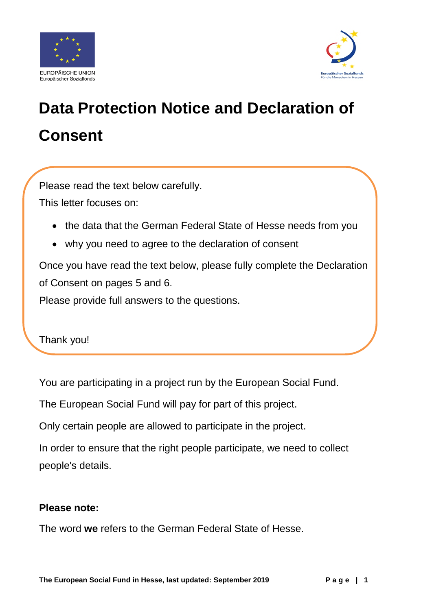



# **Data Protection Notice and Declaration of Consent**

Please read the text below carefully.

This letter focuses on:

- the data that the German Federal State of Hesse needs from you
- why you need to agree to the declaration of consent

Once you have read the text below, please fully complete the Declaration of Consent on pages 5 and 6.

Please provide full answers to the questions.

Thank you!

You are participating in a project run by the European Social Fund.

The European Social Fund will pay for part of this project.

Only certain people are allowed to participate in the project.

In order to ensure that the right people participate, we need to collect people's details.

#### **Please note:**

The word **we** refers to the German Federal State of Hesse.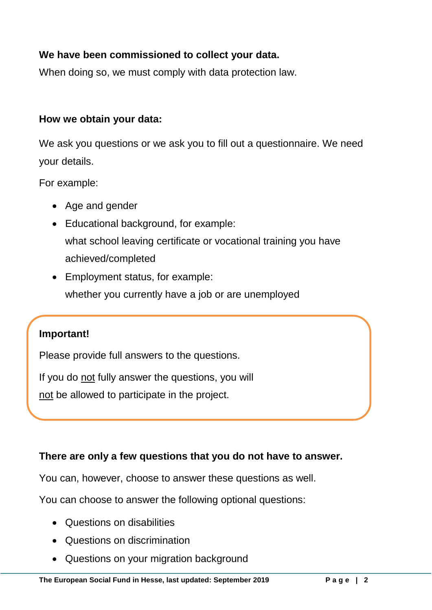### **We have been commissioned to collect your data.**

When doing so, we must comply with data protection law.

#### **How we obtain your data:**

We ask you questions or we ask you to fill out a questionnaire. We need your details.

For example:

- Age and gender
- Educational background, for example: what school leaving certificate or vocational training you have achieved/completed
- Employment status, for example: whether you currently have a job or are unemployed

### **Important!**

Please provide full answers to the questions.

If you do not fully answer the questions, you will

not be allowed to participate in the project.

### **There are only a few questions that you do not have to answer.**

You can, however, choose to answer these questions as well.

You can choose to answer the following optional questions:

- Questions on disabilities
- Questions on discrimination
- Questions on your migration background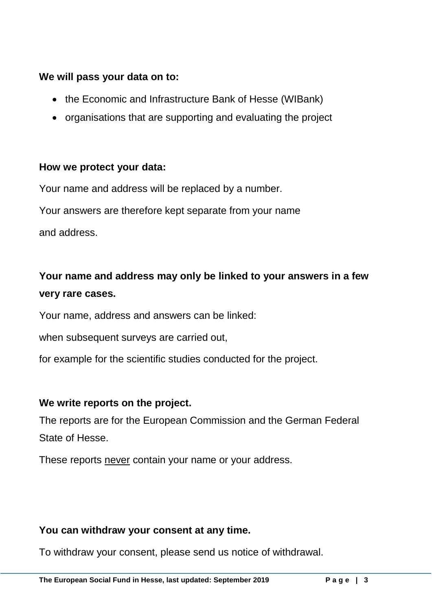### **We will pass your data on to:**

- the Economic and Infrastructure Bank of Hesse (WIBank)
- organisations that are supporting and evaluating the project

### **How we protect your data:**

Your name and address will be replaced by a number.

Your answers are therefore kept separate from your name

and address.

### **Your name and address may only be linked to your answers in a few very rare cases.**

Your name, address and answers can be linked:

when subsequent surveys are carried out,

for example for the scientific studies conducted for the project.

### **We write reports on the project.**

The reports are for the European Commission and the German Federal State of Hesse.

These reports never contain your name or your address.

### **You can withdraw your consent at any time.**

To withdraw your consent, please send us notice of withdrawal.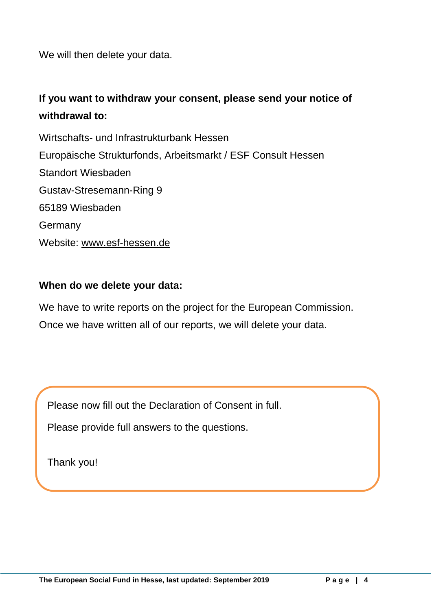We will then delete your data.

### **If you want to withdraw your consent, please send your notice of withdrawal to:**

Wirtschafts- und Infrastrukturbank Hessen Europäische Strukturfonds, Arbeitsmarkt / ESF Consult Hessen Standort Wiesbaden Gustav-Stresemann-Ring 9 65189 Wiesbaden **Germany** Website: [www.esf-hessen.de](http://www.esf-hessen.de/)

### **When do we delete your data:**

We have to write reports on the project for the European Commission. Once we have written all of our reports, we will delete your data.

Please now fill out the Declaration of Consent in full.

Please provide full answers to the questions.

Thank you!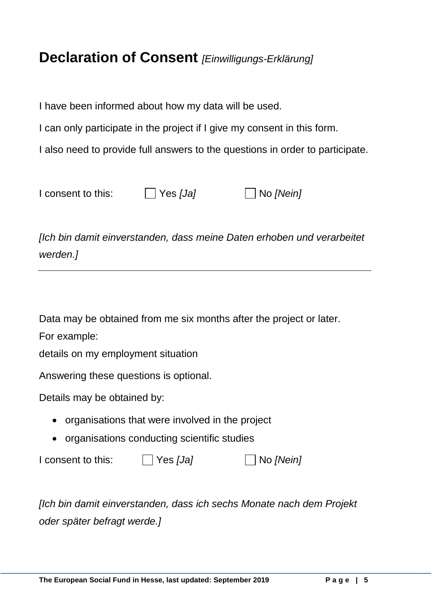### **Declaration of Consent** *[Einwilligungs-Erklärung]*

I have been informed about how my data will be used.

I can only participate in the project if I give my consent in this form.

I also need to provide full answers to the questions in order to participate.

| I consent to this: | $\Box$ Yes [Ja] | $\Box$ No [Nein] |
|--------------------|-----------------|------------------|
|--------------------|-----------------|------------------|

*[Ich bin damit einverstanden, dass meine Daten erhoben und verarbeitet werden.]*

Data may be obtained from me six months after the project or later.

For example:

details on my employment situation

Answering these questions is optional.

Details may be obtained by:

- organisations that were involved in the project
- organisations conducting scientific studies

I consent to this: Yes *[Ja]* No *[Nein]*

*[Ich bin damit einverstanden, dass ich sechs Monate nach dem Projekt oder später befragt werde.]*